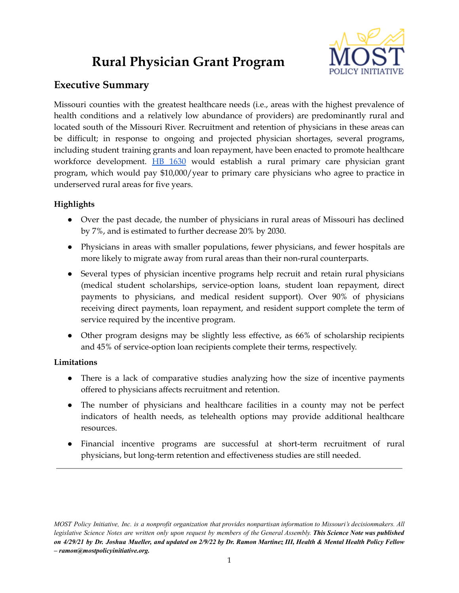# **Rural Physician Grant Program**



# **Executive Summary**

Missouri counties with the greatest healthcare needs (i.e., areas with the highest prevalence of health conditions and a relatively low abundance of providers) are predominantly rural and located south of the Missouri River. Recruitment and retention of physicians in these areas can be difficult; in response to ongoing and projected physician shortages, several programs, including student training grants and loan repayment, have been enacted to promote healthcare workforce development. HB [1630](https://house.mo.gov/Bill.aspx?bill=HB1630&year=2022&code=R) would establish a rural primary care physician grant program, which would pay \$10,000/year to primary care physicians who agree to practice in underserved rural areas for five years.

## **Highlights**

- Over the past decade, the number of physicians in rural areas of Missouri has declined by 7%, and is estimated to further decrease 20% by 2030.
- Physicians in areas with smaller populations, fewer physicians, and fewer hospitals are more likely to migrate away from rural areas than their non-rural counterparts.
- Several types of physician incentive programs help recruit and retain rural physicians (medical student scholarships, service-option loans, student loan repayment, direct payments to physicians, and medical resident support). Over 90% of physicians receiving direct payments, loan repayment, and resident support complete the term of service required by the incentive program.
- Other program designs may be slightly less effective, as 66% of scholarship recipients and 45% of service-option loan recipients complete their terms, respectively.

## **Limitations**

- There is a lack of comparative studies analyzing how the size of incentive payments offered to physicians affects recruitment and retention.
- The number of physicians and healthcare facilities in a county may not be perfect indicators of health needs, as telehealth options may provide additional healthcare resources.
- Financial incentive programs are successful at short-term recruitment of rural physicians, but long-term retention and effectiveness studies are still needed.

MOST Policy Initiative, Inc. is a nonprofit organization that provides nonpartisan information to Missouri's decisionmakers. All legislative Science Notes are written only upon request by members of the General Assembly. This Science Note was published on 4/29/21 by Dr. Joshua Mueller, and updated on 2/9/22 by Dr. Ramon Martinez III, Health & Mental Health Policy Fellow *– ramon@mostpolicyinitiative.org.*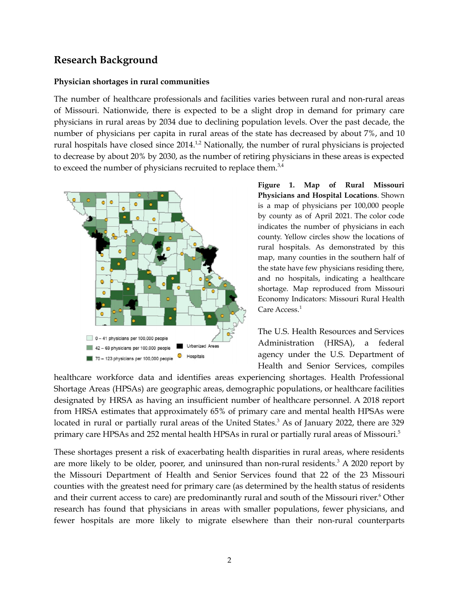## **Research Background**

### **Physician shortages in rural communities**

The number of healthcare professionals and facilities varies between rural and non-rural areas of Missouri. Nationwide, there is expected to be a slight drop in demand for primary care physicians in rural areas by 2034 due to declining population levels. Over the past decade, the number of physicians per capita in rural areas of the state has decreased by about 7%, and 10 rural hospitals have closed since  $2014$ .<sup>1,2</sup> Nationally, the number of rural physicians is projected to decrease by about 20% by 2030, as the number of retiring physicians in these areas is expected to exceed the number of physicians recruited to replace them. $3,4$ 



**Figure 1. Map of Rural Missouri Physicians and Hospital Locations**. Shown is a map of physicians per 100,000 people by county as of April 2021. The color code indicates the number of physicians in each county. Yellow circles show the locations of rural hospitals. As demonstrated by this map, many counties in the southern half of the state have few physicians residing there, and no hospitals, indicating a healthcare shortage. Map reproduced from Missouri Economy Indicators: Missouri Rural Health Care Access. 1

The U.S. Health Resources and Services Administration (HRSA), a federal agency under the U.S. Department of Health and Senior Services, compiles

healthcare workforce data and identifies areas experiencing shortages. Health Professional Shortage Areas (HPSAs) are geographic areas, demographic populations, or healthcare facilities designated by HRSA as having an insufficient number of healthcare personnel. A 2018 report from HRSA estimates that approximately 65% of primary care and mental health HPSAs were located in rural or partially rural areas of the United States.<sup>3</sup> As of January 2022, there are 329 primary care HPSAs and 252 mental health HPSAs in rural or partially rural areas of Missouri. 5

These shortages present a risk of exacerbating health disparities in rural areas, where residents are more likely to be older, poorer, and uninsured than non-rural residents.<sup>3</sup> A 2020 report by the Missouri Department of Health and Senior Services found that 22 of the 23 Missouri counties with the greatest need for primary care (as determined by the health status of residents and their current access to care) are predominantly rural and south of the Missouri river. <sup>6</sup> Other research has found that physicians in areas with smaller populations, fewer physicians, and fewer hospitals are more likely to migrate elsewhere than their non-rural counterparts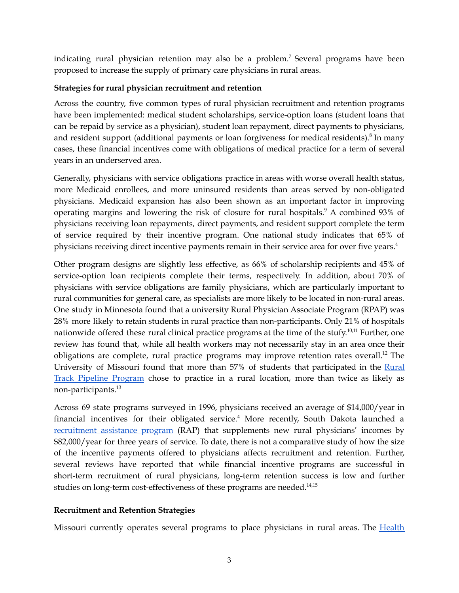indicating rural physician retention may also be a problem. <sup>7</sup> Several programs have been proposed to increase the supply of primary care physicians in rural areas.

## **Strategies for rural physician recruitment and retention**

Across the country, five common types of rural physician recruitment and retention programs have been implemented: medical student scholarships, service-option loans (student loans that can be repaid by service as a physician), student loan repayment, direct payments to physicians, and resident support (additional payments or loan forgiveness for medical residents).<sup>8</sup> In many cases, these financial incentives come with obligations of medical practice for a term of several years in an underserved area.

Generally, physicians with service obligations practice in areas with worse overall health status, more Medicaid enrollees, and more uninsured residents than areas served by non-obligated physicians. Medicaid expansion has also been shown as an important factor in improving operating margins and lowering the risk of closure for rural hospitals. <sup>9</sup> A combined 93% of physicians receiving loan repayments, direct payments, and resident support complete the term of service required by their incentive program. One national study indicates that 65% of physicians receiving direct incentive payments remain in their service area for over five years. 4

Other program designs are slightly less effective, as 66% of scholarship recipients and 45% of service-option loan recipients complete their terms, respectively. In addition, about 70% of physicians with service obligations are family physicians, which are particularly important to rural communities for general care, as specialists are more likely to be located in non-rural areas. One study in Minnesota found that a university Rural Physician Associate Program (RPAP) was 28% more likely to retain students in rural practice than non-participants. Only 21% of hospitals nationwide offered these rural clinical practice programs at the time of the stufy.<sup>10,11</sup> Further, one review has found that, while all health workers may not necessarily stay in an area once their obligations are complete, rural practice programs may improve retention rates overall.<sup>12</sup> The University of Missouri found that more than 57% of students that participated in the [Rural](https://medicine.missouri.edu/offices-programs/education/rural-scholars-program/rural-track-clerkship-program#:~:text=The%20MU%20Rural%20Track%20Clerkship,the%20rewards%20of%20rural%20practice.) Track Pipeline [Program](https://medicine.missouri.edu/offices-programs/education/rural-scholars-program/rural-track-clerkship-program#:~:text=The%20MU%20Rural%20Track%20Clerkship,the%20rewards%20of%20rural%20practice.) chose to practice in a rural location, more than twice as likely as non-participants. 13

Across 69 state programs surveyed in 1996, physicians received an average of \$14,000/year in financial incentives for their obligated service. <sup>4</sup> More recently, South Dakota launched a [recruitment](https://doh.sd.gov/providers/ruralhealth/recruitment/rap.aspx#:~:text=The%20Rural%20Assistance%20program%20(RAP,in%20an%20eligible%20rural%20community.) assistance program (RAP) that supplements new rural physicians' incomes by \$82,000/year for three years of service. To date, there is not a comparative study of how the size of the incentive payments offered to physicians affects recruitment and retention. Further, several reviews have reported that while financial incentive programs are successful in short-term recruitment of rural physicians, long-term retention success is low and further studies on long-term cost-effectiveness of these programs are needed. 14,15

### **Recruitment and Retention Strategies**

Missouri currently operates several programs to place physicians in rural areas. The [Health](https://health.mo.gov/living/families/primarycare/hpl-lr/index.php)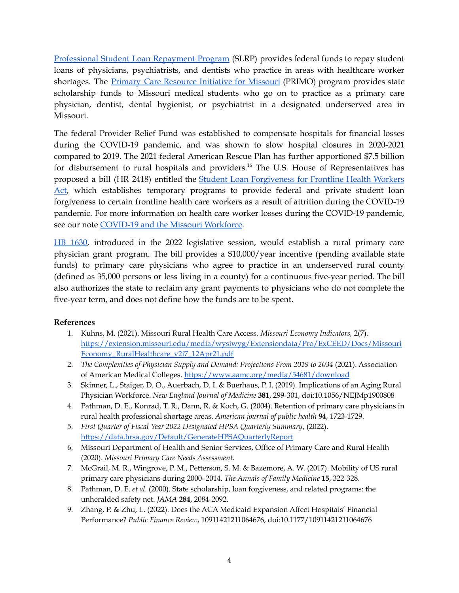[Professional](https://health.mo.gov/living/families/primarycare/hpl-lr/index.php) Student Loan Repayment Program (SLRP) provides federal funds to repay student loans of physicians, psychiatrists, and dentists who practice in areas with healthcare worker shortages. The **Primary Care [Resource](https://health.mo.gov/living/families/primarycare/primo/#:~:text=Student%20Loans%3A%20The%20PRIMO%20program,and%20other%20mental%20health%20practitioners.) Initiative for Missouri** (PRIMO) program provides state scholarship funds to Missouri medical students who go on to practice as a primary care physician, dentist, dental hygienist, or psychiatrist in a designated underserved area in Missouri.

The federal Provider Relief Fund was established to compensate hospitals for financial losses during the COVID-19 pandemic, and was shown to slow hospital closures in 2020-2021 compared to 2019. The 2021 federal American Rescue Plan has further apportioned \$7.5 billion for disbursement to rural hospitals and providers. <sup>16</sup> The U.S. House of Representatives has proposed a bill (HR 2418) entitled the Student Loan [Forgiveness](https://www.congress.gov/bill/117th-congress/house-bill/2418?r=97&s=1) for Frontline Health Workers [Act](https://www.congress.gov/bill/117th-congress/house-bill/2418?r=97&s=1), which establishes temporary programs to provide federal and private student loan forgiveness to certain frontline health care workers as a result of attrition during the COVID-19 pandemic. For more information on health care worker losses during the COVID-19 pandemic, see our note [COVID-19](https://mostpolicyinitiative.org/science-note/covid-19-and-the-missouri-workforce/) and the Missouri Workforce.

HB [1630](https://house.mo.gov/Bill.aspx?bill=HB1630&year=2022&code=R), introduced in the 2022 legislative session, would establish a rural primary care physician grant program. The bill provides a \$10,000/year incentive (pending available state funds) to primary care physicians who agree to practice in an underserved rural county (defined as 35,000 persons or less living in a county) for a continuous five-year period. The bill also authorizes the state to reclaim any grant payments to physicians who do not complete the five-year term, and does not define how the funds are to be spent.

### **References**

- 1. Kuhns, M. (2021). Missouri Rural Health Care Access. *Missouri Economy Indicators,* 2(7)*.* [https://extension.missouri.edu/media/wysiwyg/Extensiondata/Pro/ExCEED/Docs/Missouri](https://extension.missouri.edu/media/wysiwyg/Extensiondata/Pro/ExCEED/Docs/MissouriEconomy_RuralHealthcare_v2i7_12Apr21.pdf) [Economy\\_RuralHealthcare\\_v2i7\\_12Apr21.pdf](https://extension.missouri.edu/media/wysiwyg/Extensiondata/Pro/ExCEED/Docs/MissouriEconomy_RuralHealthcare_v2i7_12Apr21.pdf)
- 2. *The Complexities of Physician Supply and Demand: Projections From 2019 to 2034* (2021). Association of American Medical Colleges. <https://www.aamc.org/media/54681/download>
- 3. Skinner, L., Staiger, D. O., Auerbach, D. I. & Buerhaus, P. I. (2019). Implications of an Aging Rural Physician Workforce. *New England Journal of Medicine* **381**, 299-301, doi:10.1056/NEJMp1900808
- 4. Pathman, D. E., Konrad, T. R., Dann, R. & Koch, G. (2004). Retention of primary care physicians in rural health professional shortage areas. *American journal of public health* **94**, 1723-1729.
- 5. *First Quarter of Fiscal Year 2022 Designated HPSA Quarterly Summary*, (2022). <https://data.hrsa.gov/Default/GenerateHPSAQuarterlyReport>
- 6. Missouri Department of Health and Senior Services, Office of Primary Care and Rural Health (2020). *Missouri Primary Care Needs Assessment.*
- 7. McGrail, M. R., Wingrove, P. M., Petterson, S. M. & Bazemore, A. W. (2017). Mobility of US rural primary care physicians during 2000–2014. *The Annals of Family Medicine* **15**, 322-328.
- 8. Pathman, D. E. *et al.* (2000). State scholarship, loan forgiveness, and related programs: the unheralded safety net. *JAMA* **284**, 2084-2092.
- 9. Zhang, P. & Zhu, L. (2022). Does the ACA Medicaid Expansion Affect Hospitals' Financial Performance? *Public Finance Review*, 10911421211064676, doi:10.1177/10911421211064676